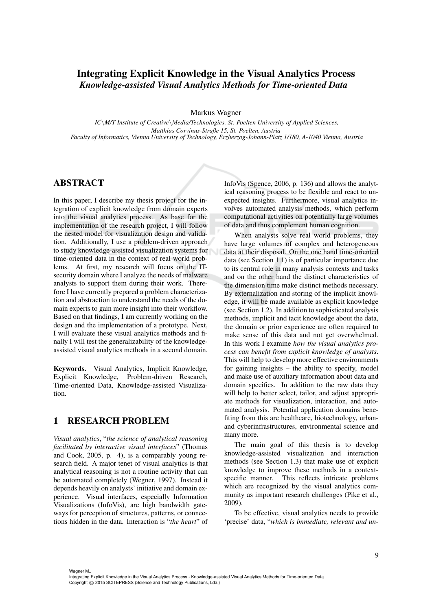# Integrating Explicit Knowledge in the Visual Analytics Process *Knowledge-assisted Visual Analytics Methods for Time-oriented Data*

Markus Wagner

*IC*\*M/T-Institute of Creative*\*Media/Technologies, St. Poelten University of Applied Sciences, Matthias Corvinus-Straße 15, St. Poelten, Austria Faculty of Informatics, Vienna University of Technology, Erzherzog-Johann-Platz 1/180, A-1040 Vienna, Austria*

## ABSTRACT

In this paper, I describe my thesis project for the integration of explicit knowledge from domain experts into the visual analytics process. As base for the implementation of the research project, I will follow the nested model for visualization design and validation. Additionally, I use a problem-driven approach to study knowledge-assisted visualization systems for time-oriented data in the context of real world problems. At first, my research will focus on the ITsecurity domain where I analyze the needs of malware analysts to support them during their work. Therefore I have currently prepared a problem characterization and abstraction to understand the needs of the domain experts to gain more insight into their workflow. Based on that findings, I am currently working on the design and the implementation of a prototype. Next, I will evaluate these visual analytics methods and finally I will test the generalizability of the knowledgeassisted visual analytics methods in a second domain.

Keywords. Visual Analytics, Implicit Knowledge, Explicit Knowledge, Problem-driven Research, Time-oriented Data, Knowledge-assisted Visualization.

## 1 RESEARCH PROBLEM

*Visual analytics*, "*the science of analytical reasoning facilitated by interactive visual interfaces*" (Thomas and Cook, 2005, p. 4), is a comparably young research field. A major tenet of visual analytics is that analytical reasoning is not a routine activity that can be automated completely (Wegner, 1997). Instead it depends heavily on analysts' initiative and domain experience. Visual interfaces, especially Information Visualizations (InfoVis), are high bandwidth gateways for perception of structures, patterns, or connections hidden in the data. Interaction is "*the heart*" of InfoVis (Spence, 2006, p. 136) and allows the analytical reasoning process to be flexible and react to unexpected insights. Furthermore, visual analytics involves automated analysis methods, which perform computational activities on potentially large volumes of data and thus complement human cognition.

When analysts solve real world problems, they have large volumes of complex and heterogeneous data at their disposal. On the one hand time-oriented data (see Section 1.1) is of particular importance due to its central role in many analysis contexts and tasks and on the other hand the distinct characteristics of the dimension time make distinct methods necessary. By externalization and storing of the implicit knowledge, it will be made available as explicit knowledge (see Section 1.2). In addition to sophisticated analysis methods, implicit and tacit knowledge about the data, the domain or prior experience are often required to make sense of this data and not get overwhelmed. In this work I examine *how the visual analytics process can benefit from explicit knowledge of analysts*. This will help to develop more effective environments for gaining insights – the ability to specify, model and make use of auxiliary information about data and domain specifics. In addition to the raw data they will help to better select, tailor, and adjust appropriate methods for visualization, interaction, and automated analysis. Potential application domains benefiting from this are healthcare, biotechnology, urbanand cyberinfrastructures, environmental science and many more.

The main goal of this thesis is to develop knowledge-assisted visualization and interaction methods (see Section 1.3) that make use of explicit knowledge to improve these methods in a contextspecific manner. This reflects intricate problems which are recognized by the visual analytics community as important research challenges (Pike et al., 2009).

To be effective, visual analytics needs to provide 'precise' data, "*which is immediate, relevant and un-*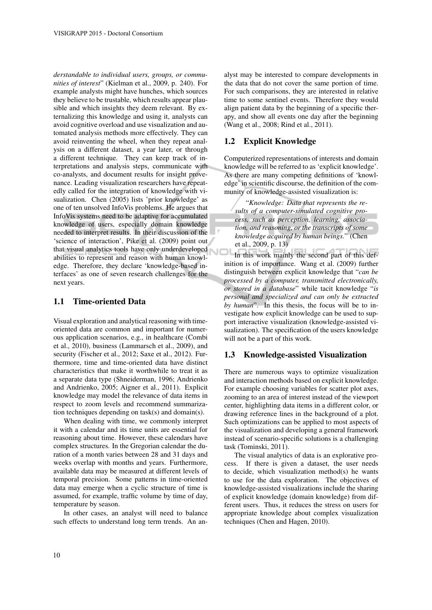*derstandable to individual users, groups, or communities of interest*" (Kielman et al., 2009, p. 240). For example analysts might have hunches, which sources they believe to be trustable, which results appear plausible and which insights they deem relevant. By externalizing this knowledge and using it, analysts can avoid cognitive overload and use visualization and automated analysis methods more effectively. They can avoid reinventing the wheel, when they repeat analysis on a different dataset, a year later, or through a different technique. They can keep track of interpretations and analysis steps, communicate with co-analysts, and document results for insight provenance. Leading visualization researchers have repeatedly called for the integration of knowledge with visualization. Chen (2005) lists 'prior knowledge' as one of ten unsolved InfoVis problems. He argues that InfoVis systems need to be adaptive for accumulated knowledge of users, especially domain knowledge needed to interpret results. In their discussion of the 'science of interaction', Pike et al. (2009) point out that visual analytics tools have only underdeveloped abilities to represent and reason with human knowledge. Therefore, they declare 'knowledge-based interfaces' as one of seven research challenges for the next years.

### 1.1 Time-oriented Data

Visual exploration and analytical reasoning with timeoriented data are common and important for numerous application scenarios, e.g., in healthcare (Combi et al., 2010), business (Lammarsch et al., 2009), and security (Fischer et al., 2012; Saxe et al., 2012). Furthermore, time and time-oriented data have distinct characteristics that make it worthwhile to treat it as a separate data type (Shneiderman, 1996; Andrienko and Andrienko, 2005; Aigner et al., 2011). Explicit knowledge may model the relevance of data items in respect to zoom levels and recommend summarization techniques depending on task(s) and domain(s).

When dealing with time, we commonly interpret it with a calendar and its time units are essential for reasoning about time. However, these calendars have complex structures. In the Gregorian calendar the duration of a month varies between 28 and 31 days and weeks overlap with months and years. Furthermore, available data may be measured at different levels of temporal precision. Some patterns in time-oriented data may emerge when a cyclic structure of time is assumed, for example, traffic volume by time of day, temperature by season.

In other cases, an analyst will need to balance such effects to understand long term trends. An an-

alyst may be interested to compare developments in the data that do not cover the same portion of time. For such comparisons, they are interested in relative time to some sentinel events. Therefore they would align patient data by the beginning of a specific therapy, and show all events one day after the beginning (Wang et al., 2008; Rind et al., 2011).

#### 1.2 Explicit Knowledge

Computerized representations of interests and domain knowledge will be referred to as 'explicit knowledge'. As there are many competing definitions of 'knowledge' in scientific discourse, the definition of the community of knowledge-assisted visualization is:

"*Knowledge: Data that represents the results of a computer-simulated cognitive process, such as perception, learning, association, and reasoning, or the transcripts of some knowledge acquired by human beings.*" (Chen et al., 2009, p. 13)

In this work mainly the second part of this definition is of importance. Wang et al. (2009) further distinguish between explicit knowledge that "*can be processed by a computer, transmitted electronically, or stored in a database*" while tacit knowledge "*is personal and specialized and can only be extracted by human*". In this thesis, the focus will be to investigate how explicit knowledge can be used to support interactive visualization (knowledge-assisted visualization). The specification of the users knowledge will not be a part of this work.

#### 1.3 Knowledge-assisted Visualization

There are numerous ways to optimize visualization and interaction methods based on explicit knowledge. For example choosing variables for scatter plot axes, zooming to an area of interest instead of the viewport center, highlighting data items in a different color, or drawing reference lines in the background of a plot. Such optimizations can be applied to most aspects of the visualization and developing a general framework instead of scenario-specific solutions is a challenging task (Tominski, 2011).

The visual analytics of data is an explorative process. If there is given a dataset, the user needs to decide, which visualization method(s) he wants to use for the data exploration. The objectives of knowledge-assisted visualizations include the sharing of explicit knowledge (domain knowledge) from different users. Thus, it reduces the stress on users for appropriate knowledge about complex visualization techniques (Chen and Hagen, 2010).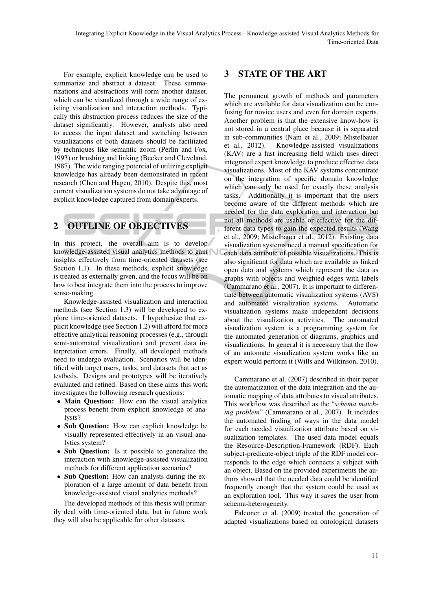For example, explicit knowledge can be used to summarize and abstract a dataset. These summarizations and abstractions will form another dataset, which can be visualized through a wide range of existing visualization and interaction methods. Typically this abstraction process reduces the size of the dataset significantly. However, analysts also need to access the input dataset and switching between visualizations of both datasets should be facilitated by techniques like semantic zoom (Perlin and Fox, 1993) or brushing and linking (Becker and Cleveland, 1987). The wide ranging potential of utilizing explicit knowledge has already been demonstrated in recent research (Chen and Hagen, 2010). Despite this, most current visualization systems do not take advantage of explicit knowledge captured from domain experts.

# 2 OUTLINE OF OBJECTIVES

In this project, the overall aim is to develop knowledge-assisted visual analytics methods to gain insights effectively from time-oriented datasets (see Section 1.1). In these methods, explicit knowledge is treated as externally given, and the focus will be on how to best integrate them into the process to improve sense-making.

Knowledge-assisted visualization and interaction methods (see Section 1.3) will be developed to explore time-oriented datasets. I hypothesize that explicit knowledge (see Section 1.2) will afford for more effective analytical reasoning processes (e.g., through semi-automated visualization) and prevent data interpretation errors. Finally, all developed methods need to undergo evaluation. Scenarios will be identified with target users, tasks, and datasets that act as testbeds. Designs and prototypes will be iteratively evaluated and refined. Based on these aims this work investigates the following research questions:

- Main Question: How can the visual analytics process benefit from explicit knowledge of analysts?
- Sub Question: How can explicit knowledge be visually represented effectively in an visual analytics system?
- Sub Question: Is it possible to generalize the interaction with knowledge-assisted visualization methods for different application scenarios?
- Sub Question: How can analysts during the exploration of a large amount of data benefit from knowledge-assisted visual analytics methods?

The developed methods of this thesis will primarily deal with time-oriented data, but in future work they will also be applicable for other datasets.

# 3 STATE OF THE ART

The permanent growth of methods and parameters which are available for data visualization can be confusing for novice users and even for domain experts. Another problem is that the extensive know-how is not stored in a central place because it is separated in sub-communities (Nam et al., 2009; Mistelbauer et al., 2012). Knowledge-assisted visualizations (KAV) are a fast increasing field which uses direct integrated expert knowledge to produce effective data visualizations. Most of the KAV systems concentrate on the integration of specific domain knowledge which can only be used for exactly these analysis tasks. Additionally it is important that the users become aware of the different methods which are needed for the data exploration and interaction but not all methods are usable or effective for the different data types to gain the expected results (Wang et al., 2009; Mistelbauer et al., 2012). Existing data visualization systems need a manual specification for each data attribute of possible visualizations. This is also significant for data which are available as linked open data and systems which represent the data as graphs with objects and weighted edges with labels (Cammarano et al., 2007). It is important to differentiate between automatic visualization systems (AVS) and automated visualization systems. Automatic visualization systems make independent decisions about the visualization activities. The automated visualization system is a programming system for the automated generation of diagrams, graphics and visualizations. In general it is necessary that the flow of an automate visualization system works like an expert would perform it (Wills and Wilkinson, 2010).

Cammarano et al. (2007) described in their paper the automatization of the data integration and the automatic mapping of data attributes to visual attributes. This workflow was described as the "*schema matching problem*" (Cammarano et al., 2007). It includes the automated finding of ways in the data model for each needed visualization attribute based on visualization templates. The used data model equals the Resource-Description-Framework (RDF). Each subject-predicate-object triple of the RDF model corresponds to the edge which connects a subject with an object. Based on the provided experiments the authors showed that the needed data could be identified frequently enough that the system could be used as an exploration tool. This way it saves the user from schema-heterogeneity.

Falconer et al. (2009) treated the generation of adapted visualizations based on ontological datasets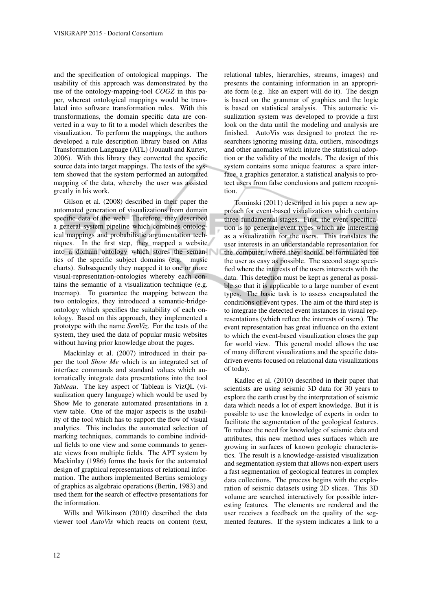and the specification of ontological mappings. The usability of this approach was demonstrated by the use of the ontology-mapping-tool *COGZ* in this paper, whereat ontological mappings would be translated into software transformation rules. With this transformations, the domain specific data are converted in a way to fit to a model which describes the visualization. To perform the mappings, the authors developed a rule description library based on Atlas Transformation Language (ATL) (Jouault and Kurtev, 2006). With this library they converted the specific source data into target mappings. The tests of the system showed that the system performed an automated mapping of the data, whereby the user was assisted greatly in his work.

Gilson et al. (2008) described in their paper the automated generation of visualizations from domain specific data of the web. Therefore, they described a general system pipeline which combines ontological mappings and probabilistic argumentation techniques. In the first step, they mapped a website into a domain ontology which stores the semantics of the specific subject domains (e.g. music charts). Subsequently they mapped it to one or more visual-representation-ontologies whereby each contains the semantic of a visualization technique (e.g. treemap). To guarantee the mapping between the two ontologies, they introduced a semantic-bridgeontology which specifies the suitability of each ontology. Based on this approach, they implemented a prototype with the name *SemViz*. For the tests of the system, they used the data of popular music websites without having prior knowledge about the pages.

Mackinlay et al. (2007) introduced in their paper the tool *Show Me* which is an integrated set of interface commands and standard values which automatically integrate data presentations into the tool *Tableau*. The key aspect of Tableau is VizQL (visualization query language) which would be used by Show Me to generate automated presentations in a view table. One of the major aspects is the usability of the tool which has to support the flow of visual analytics. This includes the automated selection of marking techniques, commands to combine individual fields to one view and some commands to generate views from multiple fields. The APT system by Mackinlay (1986) forms the basis for the automated design of graphical representations of relational information. The authors implemented Bertins semiology of graphics as algebraic operations (Bertin, 1983) and used them for the search of effective presentations for the information.

Wills and Wilkinson (2010) described the data viewer tool *AutoVis* which reacts on content (text,

relational tables, hierarchies, streams, images) and presents the containing information in an appropriate form (e.g. like an expert will do it). The design is based on the grammar of graphics and the logic is based on statistical analysis. This automatic visualization system was developed to provide a first look on the data until the modeling and analysis are finished. AutoVis was designed to protect the researchers ignoring missing data, outliers, miscodings and other anomalies which injure the statistical adoption or the validity of the models. The design of this system contains some unique features: a spare interface, a graphics generator, a statistical analysis to protect users from false conclusions and pattern recognition.

Tominski (2011) described in his paper a new approach for event-based visualizations which contains three fundamental stages. First, the event specification is to generate event types which are interesting as a visualization for the users. This translates the user interests in an understandable representation for the computer, where they should be formulated for the user as easy as possible. The second stage specified where the interests of the users intersects with the data. This detection must be kept as general as possible so that it is applicable to a large number of event types. The basic task is to assess encapsulated the conditions of event types. The aim of the third step is to integrate the detected event instances in visual representations (which reflect the interests of users). The event representation has great influence on the extent to which the event-based visualization closes the gap for world view. This general model allows the use of many different visualizations and the specific datadriven events focused on relational data visualizations of today.

Kadlec et al. (2010) described in their paper that scientists are using seismic 3D data for 30 years to explore the earth crust by the interpretation of seismic data which needs a lot of expert knowledge. But it is possible to use the knowledge of experts in order to facilitate the segmentation of the geological features. To reduce the need for knowledge of seismic data and attributes, this new method uses surfaces which are growing in surfaces of known geologic characteristics. The result is a knowledge-assisted visualization and segmentation system that allows non-expert users a fast segmentation of geological features in complex data collections. The process begins with the exploration of seismic datasets using 2D slices. This 3D volume are searched interactively for possible interesting features. The elements are rendered and the user receives a feedback on the quality of the segmented features. If the system indicates a link to a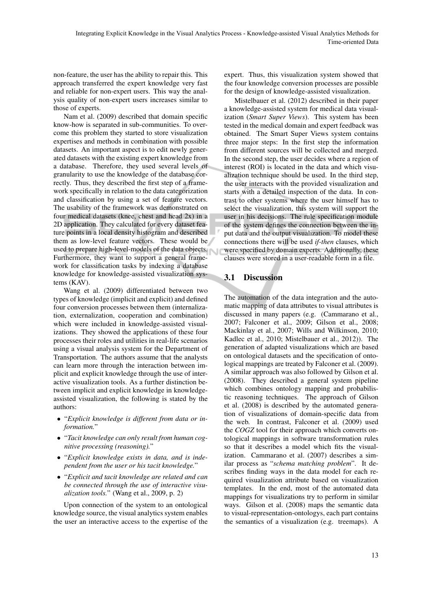non-feature, the user has the ability to repair this. This approach transferred the expert knowledge very fast and reliable for non-expert users. This way the analysis quality of non-expert users increases similar to those of experts.

Nam et al. (2009) described that domain specific know-how is separated in sub-communities. To overcome this problem they started to store visualization expertises and methods in combination with possible datasets. An important aspect is to edit newly generated datasets with the existing expert knowledge from a database. Therefore, they used several levels of granularity to use the knowledge of the database correctly. Thus, they described the first step of a framework specifically in relation to the data categorization and classification by using a set of feature vectors. The usability of the framework was demonstrated on four medical datasets (knee, chest and head 2x) in a 2D application. They calculated for every dataset feature points in a local density histogram and described them as low-level feature vectors. These would be used to prepare high-level-models of the data objects. Furthermore, they want to support a general framework for classification tasks by indexing a database knowledge for knowledge-assisted visualization systems (KAV).

Wang et al. (2009) differentiated between two types of knowledge (implicit and explicit) and defined four conversion processes between them (internalization, externalization, cooperation and combination) which were included in knowledge-assisted visualizations. They showed the applications of these four processes their roles and utilities in real-life scenarios using a visual analysis system for the Department of Transportation. The authors assume that the analysts can learn more through the interaction between implicit and explicit knowledge through the use of interactive visualization tools. As a further distinction between implicit and explicit knowledge in knowledgeassisted visualization, the following is stated by the authors:

- "*Explicit knowledge is different from data or information.*"
- "*Tacit knowledge can only result from human cognitive processing (reasoning).*"
- "*Explicit knowledge exists in data, and is independent from the user or his tacit knowledge.*"
- "*Explicit and tacit knowledge are related and can be connected through the use of interactive visualization tools.*" (Wang et al., 2009, p. 2)

Upon connection of the system to an ontological knowledge source, the visual analytics system enables the user an interactive access to the expertise of the

expert. Thus, this visualization system showed that the four knowledge conversion processes are possible for the design of knowledge-assisted visualization.

Mistelbauer et al. (2012) described in their paper a knowledge-assisted system for medical data visualization (*Smart Super Views*). This system has been tested in the medical domain and expert feedback was obtained. The Smart Super Views system contains three major steps: In the first step the information from different sources will be collected and merged. In the second step, the user decides where a region of interest (ROI) is located in the data and which visualization technique should be used. In the third step, the user interacts with the provided visualization and starts with a detailed inspection of the data. In contrast to other systems where the user himself has to select the visualization, this system will support the user in his decisions. The rule specification module of the system defines the connection between the input data and the output visualization. To model these connections there will be used *if-then* clauses, which were specified by domain experts. Additionally, these clauses were stored in a user-readable form in a file.

# 3.1 Discussion

The automation of the data integration and the automatic mapping of data attributes to visual attributes is discussed in many papers (e.g. (Cammarano et al., 2007; Falconer et al., 2009; Gilson et al., 2008; Mackinlay et al., 2007; Wills and Wilkinson, 2010; Kadlec et al., 2010; Mistelbauer et al., 2012)). The generation of adapted visualizations which are based on ontological datasets and the specification of ontological mappings are treated by Falconer et al. (2009). A similar approach was also followed by Gilson et al. (2008). They described a general system pipeline which combines ontology mapping and probabilistic reasoning techniques. The approach of Gilson et al. (2008) is described by the automated generation of visualizations of domain-specific data from the web. In contrast, Falconer et al. (2009) used the *COGZ* tool for their approach which converts ontological mappings in software transformation rules so that it describes a model which fits the visualization. Cammarano et al. (2007) describes a similar process as "*schema matching problem*". It describes finding ways in the data model for each required visualization attribute based on visualization templates. In the end, most of the automated data mappings for visualizations try to perform in similar ways. Gilson et al. (2008) maps the semantic data to visual-representation-ontologys, each part contains the semantics of a visualization (e.g. treemaps). A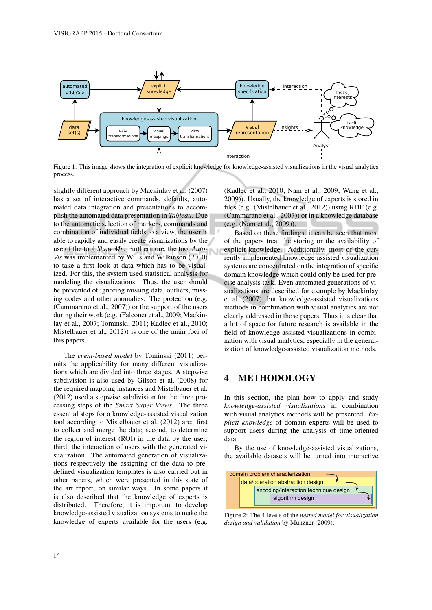

Figure 1: This image shows the integration of explicit knowledge for knowledge-assisted visualizations in the visual analytics process.

slightly different approach by Mackinlay et al. (2007) has a set of interactive commands, defaults, automated data integration and presentations to accomplish the automated data presentation in *Tableau*. Due to the automatic selection of markers, commands and combination of individual fields to a view, the user is able to rapidly and easily create visualizations by the use of the tool *Show Me*. Furthermore, the tool *Auto-Vis* was implemented by Wills and Wilkinson (2010) to take a first look at data which has to be visualized. For this, the system used statistical analysis for modeling the visualizations. Thus, the user should be prevented of ignoring missing data, outliers, missing codes and other anomalies. The protection (e.g. (Cammarano et al., 2007)) or the support of the users during their work (e.g. (Falconer et al., 2009; Mackinlay et al., 2007; Tominski, 2011; Kadlec et al., 2010; Mistelbauer et al., 2012)) is one of the main foci of this papers.

The *event-based model* by Tominski (2011) permits the applicability for many different visualizations which are divided into three stages. A stepwise subdivision is also used by Gilson et al. (2008) for the required mapping instances and Mistelbauer et al. (2012) used a stepwise subdivision for the three processing steps of the *Smart Super Views*. The three essential steps for a knowledge-assisted visualization tool according to Mistelbauer et al. (2012) are: first to collect and merge the data; second, to determine the region of interest (ROI) in the data by the user; third, the interaction of users with the generated visualization. The automated generation of visualizations respectively the assigning of the data to predefined visualization templates is also carried out in other papers, which were presented in this state of the art report, on similar ways. In some papers it is also described that the knowledge of experts is distributed. Therefore, it is important to develop knowledge-assisted visualization systems to make the knowledge of experts available for the users (e.g.

(Kadlec et al., 2010; Nam et al., 2009; Wang et al., 2009)). Usually, the knowledge of experts is stored in files (e.g. (Mistelbauer et al., 2012)),using RDF (e.g. (Cammarano et al., 2007)) or in a knowledge database (e.g. (Nam et al., 2009)).

Based on these findings, it can be seen that most of the papers treat the storing or the availability of explicit knowledge. Additionally, most of the currently implemented knowledge assisted visualization systems are concentrated on the integration of specific domain knowledge which could only be used for precise analysis task. Even automated generations of visualizations are described for example by Mackinlay et al. (2007), but knowledge-assisted visualizations methods in combination with visual analytics are not clearly addressed in those papers. Thus it is clear that a lot of space for future research is available in the field of knowledge-assisted visualizations in combination with visual analytics, especially in the generalization of knowledge-assisted visualization methods.

## 4 METHODOLOGY

In this section, the plan how to apply and study *knowledge-assisted visualizations* in combination with visual analytics methods will be presented. *Explicit knowledge* of domain experts will be used to support users during the analysis of time-oriented data.

By the use of knowledge-assisted visualizations, a<sup>2</sup> the available datasets will be turned into interactive



*design and validation* by Munzner (2009). Figure 2: The 4 levels of the *nested model for visualization*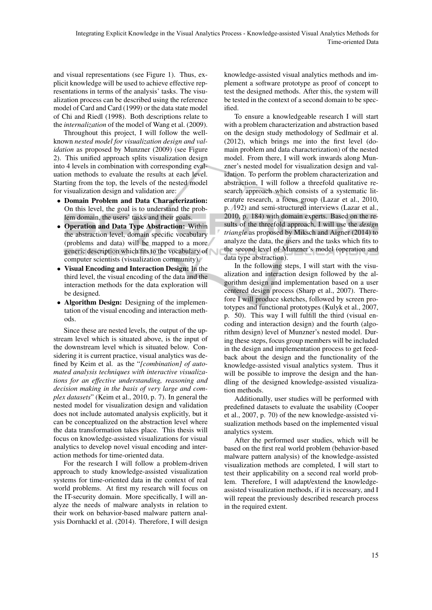and visual representations (see Figure 1). Thus, explicit knowledge will be used to achieve effective representations in terms of the analysis' tasks. The visualization process can be described using the reference model of Card and Card (1999) or the data state model of Chi and Riedl (1998). Both descriptions relate to the *internalization* of the model of Wang et al. (2009).

Throughout this project, I will follow the wellknown *nested model for visualization design and validation* as proposed by Munzner (2009) (see Figure 2). This unified approach splits visualization design into 4 levels in combination with corresponding evaluation methods to evaluate the results at each level. Starting from the top, the levels of the nested model for visualization design and validation are:

- Domain Problem and Data Characterization: On this level, the goal is to understand the problem domain, the users' tasks and their goals.
- Operation and Data Type Abstraction: Within the abstraction level, domain specific vocabulary (problems and data) will be mapped to a more generic description which fits to the vocabulary of computer scientists (visualization community).
- Visual Encoding and Interaction Design: In the third level, the visual encoding of the data and the interaction methods for the data exploration will be designed.
- Algorithm Design: Designing of the implementation of the visual encoding and interaction methods.

Since these are nested levels, the output of the upstream level which is situated above, is the input of the downstream level which is situated below. Considering it is current practice, visual analytics was defined by Keim et al. as the "*[combination] of automated analysis techniques with interactive visualizations for an effective understanding, reasoning and decision making in the basis of very large and complex datasets*" (Keim et al., 2010, p. 7). In general the nested model for visualization design and validation does not include automated analysis explicitly, but it can be conceptualized on the abstraction level where the data transformation takes place. This thesis will focus on knowledge-assisted visualizations for visual analytics to develop novel visual encoding and interaction methods for time-oriented data.

For the research I will follow a problem-driven approach to study knowledge-assisted visualization systems for time-oriented data in the context of real world problems. At first my research will focus on the IT-security domain. More specifically, I will analyze the needs of malware analysts in relation to their work on behavior-based malware pattern analysis Dornhackl et al. (2014). Therefore, I will design knowledge-assisted visual analytics methods and implement a software prototype as proof of concept to test the designed methods. After this, the system will be tested in the context of a second domain to be specified.

To ensure a knowledgeable research I will start with a problem characterization and abstraction based on the design study methodology of Sedlmair et al. (2012), which brings me into the first level (domain problem and data characterization) of the nested model. From there, I will work inwards along Munzner's nested model for visualization design and validation. To perform the problem characterization and abstraction, I will follow a threefold qualitative research approach which consists of a systematic literature research, a focus group (Lazar et al., 2010, p. 192) and semi-structured interviews (Lazar et al., 2010, p. 184) with domain experts. Based on the results of the threefold approach, I will use the *design triangle* as proposed by Miksch and Aigner (2014) to analyze the data, the users and the tasks which fits to the second level of Munzner's model (operation and data type abstraction).

In the following steps, I will start with the visualization and interaction design followed by the algorithm design and implementation based on a user centered design process (Sharp et al., 2007). Therefore I will produce sketches, followed by screen prototypes and functional prototypes (Kulyk et al., 2007, p. 50). This way I will fulfill the third (visual encoding and interaction design) and the fourth (algorithm design) level of Munzner's nested model. During these steps, focus group members will be included in the design and implementation process to get feedback about the design and the functionality of the knowledge-assisted visual analytics system. Thus it will be possible to improve the design and the handling of the designed knowledge-assisted visualization methods.

Additionally, user studies will be performed with predefined datasets to evaluate the usability (Cooper et al., 2007, p. 70) of the new knowledge-assisted visualization methods based on the implemented visual analytics system.

After the performed user studies, which will be based on the first real world problem (behavior-based malware pattern analysis) of the knowledge-assisted visualization methods are completed, I will start to test their applicability on a second real world problem. Therefore, I will adapt/extend the knowledgeassisted visualization methods, if it is necessary, and I will repeat the previously described research process in the required extent.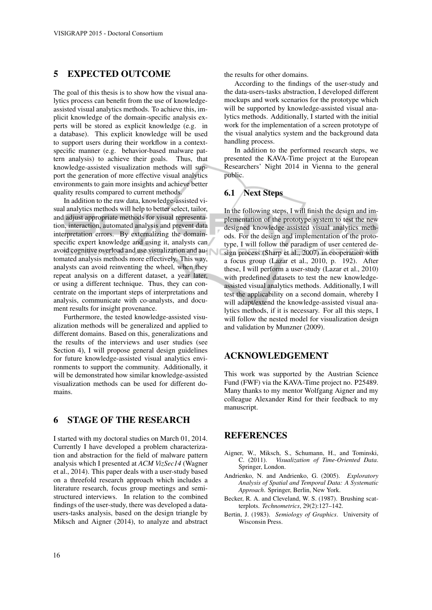## 5 EXPECTED OUTCOME

The goal of this thesis is to show how the visual analytics process can benefit from the use of knowledgeassisted visual analytics methods. To achieve this, implicit knowledge of the domain-specific analysis experts will be stored as explicit knowledge (e.g. in a database). This explicit knowledge will be used to support users during their workflow in a contextspecific manner (e.g. behavior-based malware pattern analysis) to achieve their goals. Thus, that knowledge-assisted visualization methods will support the generation of more effective visual analytics environments to gain more insights and achieve better quality results compared to current methods.

In addition to the raw data, knowledge-assisted visual analytics methods will help to better select, tailor, and adjust appropriate methods for visual representation, interaction, automated analysis and prevent data interpretation errors. By externalizing the domainspecific expert knowledge and using it, analysts can avoid cognitive overload and use visualization and automated analysis methods more effectively. This way, analysts can avoid reinventing the wheel, when they repeat analysis on a different dataset, a year later, or using a different technique. Thus, they can concentrate on the important steps of interpretations and analysis, communicate with co-analysts, and document results for insight provenance.

Furthermore, the tested knowledge-assisted visualization methods will be generalized and applied to different domains. Based on this, generalizations and the results of the interviews and user studies (see Section 4), I will propose general design guidelines for future knowledge-assisted visual analytics environments to support the community. Additionally, it will be demonstrated how similar knowledge-assisted visualization methods can be used for different domains.

# 6 STAGE OF THE RESEARCH

I started with my doctoral studies on March 01, 2014. Currently I have developed a problem characterization and abstraction for the field of malware pattern analysis which I presented at *ACM VizSec14* (Wagner et al., 2014). This paper deals with a user-study based on a threefold research approach which includes a literature research, focus group meetings and semistructured interviews. In relation to the combined findings of the user-study, there was developed a datausers-tasks analysis, based on the design triangle by Miksch and Aigner (2014), to analyze and abstract

the results for other domains.

According to the findings of the user-study and the data-users-tasks abstraction, I developed different mockups and work scenarios for the prototype which will be supported by knowledge-assisted visual analytics methods. Additionally, I started with the initial work for the implementation of a screen prototype of the visual analytics system and the background data handling process.

In addition to the performed research steps, we presented the KAVA-Time project at the European Researchers' Night 2014 in Vienna to the general public.

### 6.1 Next Steps

In the following steps, I will finish the design and implementation of the prototype system to test the new designed knowledge-assisted visual analytics methods. For the design and implementation of the prototype, I will follow the paradigm of user centered design process (Sharp et al., 2007) in cooperation with a focus group (Lazar et al., 2010, p. 192). After these, I will perform a user-study (Lazar et al., 2010) with predefined datasets to test the new knowledgeassisted visual analytics methods. Additionally, I will test the applicability on a second domain, whereby I will adapt/extend the knowledge-assisted visual analytics methods, if it is necessary. For all this steps, I will follow the nested model for visualization design and validation by Munzner (2009).

## ACKNOWLEDGEMENT

This work was supported by the Austrian Science Fund (FWF) via the KAVA-Time project no. P25489. Many thanks to my mentor Wolfgang Aigner and my colleague Alexander Rind for their feedback to my manuscript.

### **REFERENCES**

- Aigner, W., Miksch, S., Schumann, H., and Tominski, C. (2011). *Visualization of Time-Oriented Data*. Springer, London.
- Andrienko, N. and Andrienko, G. (2005). *Exploratory Analysis of Spatial and Temporal Data: A Systematic Approach*. Springer, Berlin, New York.
- Becker, R. A. and Cleveland, W. S. (1987). Brushing scatterplots. *Technometrics*, 29(2):127–142.
- Bertin, J. (1983). *Semiology of Graphics*. University of Wisconsin Press.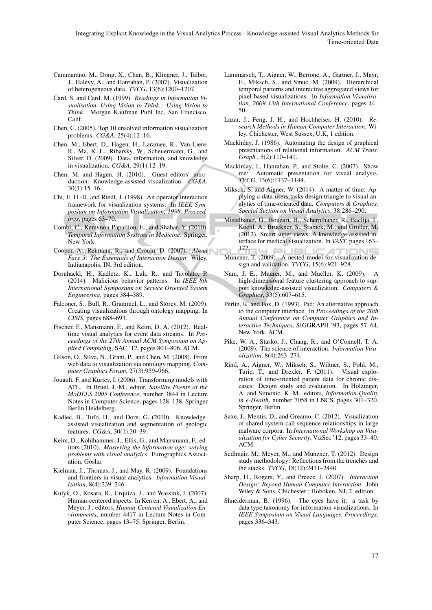- Cammarano, M., Dong, X., Chan, B., Klingner, J., Talbot, J., Halevy, A., and Hanrahan, P. (2007). Visualization of heterogeneous data. *TVCG*, 13(6):1200–1207.
- Card, S. and Card, M. (1999). *Readings in Information Visualisation. Using Vision to Think.: Using Vision to Think*. Morgan Kaufman Publ Inc, San Francisco, Calif.
- Chen, C. (2005). Top 10 unsolved information visualization problems. *CG&A*, 25(4):12–16.
- Chen, M., Ebert, D., Hagen, H., Laramee, R., Van Liere, R., Ma, K.-L., Ribarsky, W., Scheuermann, G., and Silver, D. (2009). Data, information, and knowledge in visualization. *CG&A*, 29(1):12–19.
- Chen, M. and Hagen, H. (2010). Guest editors' introduction: Knowledge-assisted visualization. *CG&A*, 30(1):15–16.
- Chi, E. H.-H. and Riedl, J. (1998). An operator interaction framework for visualization systems. In *IEEE Symposium on Information Visualization, 1998. Proceedings*, pages 63–70.
- Combi, C., Keravnou-Papailiou, E., and Shahar, Y. (2010). *Temporal Information Systems in Medicine*. Springer, New York.
- Cooper, A., Reimann, R., and Cronin, D. (2007). *About Face 3: The Essentials of Interaction Design*. Wiley, Indianapolis, IN, 3rd edition.
- Dornhackl, H., Kadletz, K., Luh, R., and Tavolato, P. (2014). Malicious behavior patterns. In *IEEE 8th International Symposium on Service Oriented System Engineering*, pages 384–389.
- Falconer, S., Bull, R., Grammel, L., and Storey, M. (2009). Creating visualizations through ontology mapping. In *CISIS*, pages 688–693.
- Fischer, F., Mansmann, F., and Keim, D. A. (2012). Realtime visual analytics for event data streams. In *Proceedings of the 27th Annual ACM Symposium on Applied Computing*, SAC '12, pages 801–806. ACM.
- Gilson, O., Silva, N., Grant, P., and Chen, M. (2008). From web data to visualization via ontology mapping. *Computer Graphics Forum*, 27(3):959–966.
- Jouault, F. and Kurtev, I. (2006). Transforming models with ATL. In Bruel, J.-M., editor, *Satellite Events at the MoDELS 2005 Conference*, number 3844 in Lecture Notes in Computer Science, pages 128–138. Springer Berlin Heidelberg.
- Kadlec, B., Tufo, H., and Dorn, G. (2010). Knowledgeassisted visualization and segmentation of geologic features. *CG&A*, 30(1):30–39.
- Keim, D., Kohlhammer, J., Ellis, G., and Mansmann, F., editors (2010). *Mastering the information age: solving problems with visual analytics*. Eurographics Association, Goslar.
- Kielman, J., Thomas, J., and May, R. (2009). Foundations and frontiers in visual analytics. *Information Visualization*, 8(4):239–246.
- Kulyk, O., Kosara, R., Urquiza, J., and Wassink, I. (2007). Human-centered aspects. In Kerren, A., Ebert, A., and Meyer, J., editors, *Human-Centered Visualization Environments*, number 4417 in Lecture Notes in Computer Science, pages 13–75. Springer, Berlin.
- Lammarsch, T., Aigner, W., Bertone, A., Gartner, J., Mayr, E., Miksch, S., and Smuc, M. (2009). Hierarchical temporal patterns and interactive aggregated views for pixel-based visualizations. In *Information Visualisation, 2009 13th International Conference*, pages 44– 50.
- Lazar, J., Feng, J. H., and Hochheiser, H. (2010). *Research Methods in Human-Computer Interaction*. Wiley, Chichester, West Sussex, U.K, 1 edition.
- Mackinlay, J. (1986). Automating the design of graphical presentations of relational information. *ACM Trans. Graph.*, 5(2):110–141.
- Mackinlay, J., Hanrahan, P., and Stolte, C. (2007). Show me: Automatic presentation for visual analysis. *TVCG*, 13(6):1137–1144.
- Miksch, S. and Aigner, W. (2014). A matter of time: Applying a data-users-tasks design triangle to visual analytics of time-oriented data. *Computers & Graphics, Special Section on Visual Analytics*, 38:286–290.
- Mistelbauer, G., Bouzari, H., Schernthaner, R., Baclija, I., Kochl, A., Bruckner, S., Sramek, M., and Groller, M. (2012). Smart super views: A knowledge-assisted interface for medical visualization. In *VAST*, pages 163– 172.
- Munzner, T. (2009). A nested model for visualization design and validation. *TVCG*, 15(6):921–928.
- Nam, J. E., Maurer, M., and Mueller, K. (2009). high-dimensional feature clustering approach to support knowledge-assisted visualization. *Computers & Graphics*, 33(5):607–615.
- Perlin, K. and Fox, D. (1993). Pad: An alternative approach to the computer interface. In *Proceedings of the 20th Annual Conference on Computer Graphics and Interactive Techniques*, SIGGRAPH '93, pages 57–64, New York. ACM.
- Pike, W. A., Stasko, J., Chang, R., and O'Connell, T. A. (2009). The science of interaction. *Information Visualization*, 8(4):263–274.
- Rind, A., Aigner, W., Miksch, S., Wiltner, S., Pohl, M., Turic, T., and Drexler, F. (2011). Visual exploration of time-oriented patient data for chronic diseases: Design study and evaluation. In Holzinger, A. and Simonic, K.-M., editors, *Information Quality in e-Health*, number 7058 in LNCS, pages 301–320. Springer, Berlin.
- Saxe, J., Mentis, D., and Greamo, C. (2012). Visualization of shared system call sequence relationships in large malware corpora. In *International Workshop on Visualization for Cyber Security*, VizSec '12, pages 33–40. ACM.
- Sedlmair, M., Meyer, M., and Munzner, T. (2012). Design study methodology: Reflections from the trenches and the stacks. *TVCG*, 18(12):2431–2440.
- Sharp, H., Rogers, Y., and Preece, J. (2007). *Interaction Design: Beyond Human-Computer Interaction*. John Wiley & Sons, Chichester ; Hoboken, NJ, 2. edition.
- Shneiderman, B. (1996). The eyes have it: a task by data type taxonomy for information visualizations. In *IEEE Symposium on Visual Languages. Proceedings*, pages 336–343.